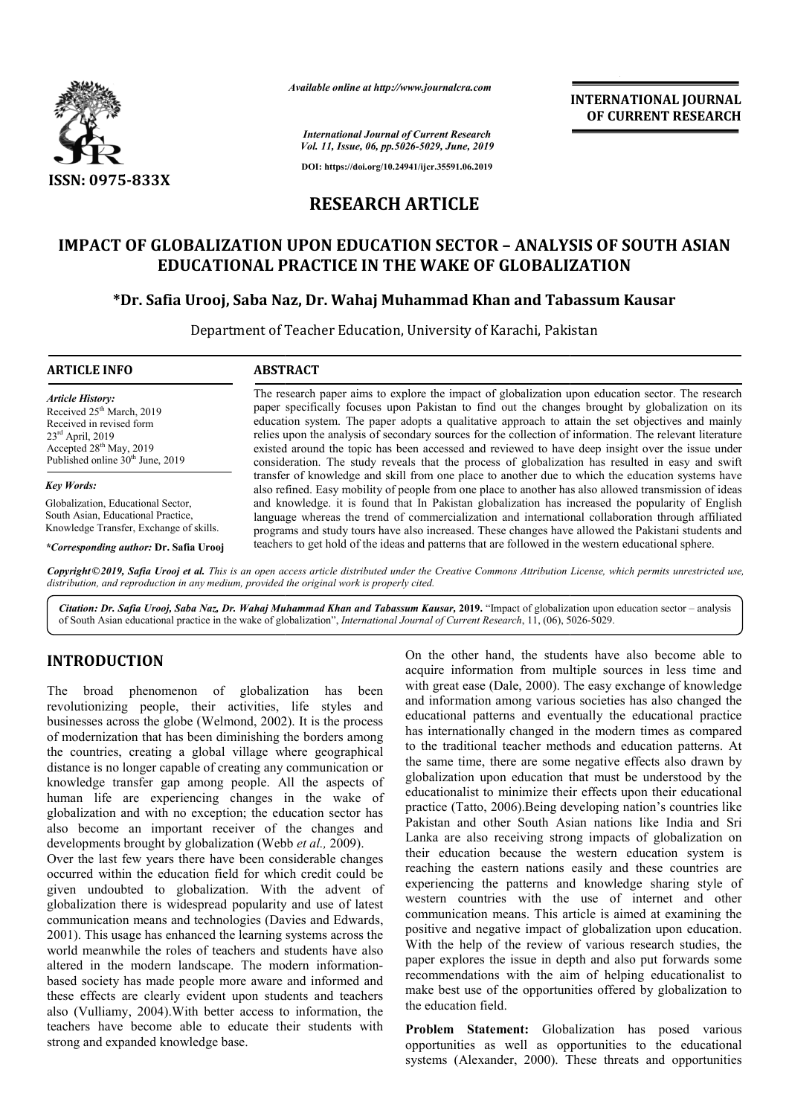

*Available online at http://www.journalcra.com*

*International Journal of Current Research Vol. 11, Issue, 06, pp.5026-5029, June, 2019*

**DOI: https://doi.org/10.24941/ijcr.35591.06.2019**

# **RESEARCH ARTICLE**

# **IMPACT OF GLOBALIZATION UPON EDUCATION SECTOR – ANALYSIS OF SOUTH ASIAN EDUCATIONAL PRACTICE IN THE WAKE OF GLOBALIZATION**

## **\*Dr. Safia Urooj, Saba Naz Naz, Dr. Wahaj Muhammad Khan and Tabassum Kausar Tabassum**

Department of Teacher Education, University of Karachi, Pakistan Pakistan

| <b>ARTICLE INFO</b>                                                                                                                                                                             | <b>ABSTRACT</b>                                                                                                                                                                                                                                                                                                                                                                                                                                                                                                                                                                                                                                                                                                                                                                                                                                                                                                                                                                                                                                                                                                                                                    |
|-------------------------------------------------------------------------------------------------------------------------------------------------------------------------------------------------|--------------------------------------------------------------------------------------------------------------------------------------------------------------------------------------------------------------------------------------------------------------------------------------------------------------------------------------------------------------------------------------------------------------------------------------------------------------------------------------------------------------------------------------------------------------------------------------------------------------------------------------------------------------------------------------------------------------------------------------------------------------------------------------------------------------------------------------------------------------------------------------------------------------------------------------------------------------------------------------------------------------------------------------------------------------------------------------------------------------------------------------------------------------------|
| <b>Article History:</b><br>Received 25 <sup>th</sup> March, 2019<br>Received in revised form<br>$23rd$ April, 2019<br>Accepted $28th$ May, 2019<br>Published online 30 <sup>th</sup> June, 2019 | The research paper aims to explore the impact of globalization upon education sector. The research<br>paper specifically focuses upon Pakistan to find out the changes brought by globalization on its<br>education system. The paper adopts a qualitative approach to attain the set objectives and mainly<br>relies upon the analysis of secondary sources for the collection of information. The relevant literature<br>existed around the topic has been accessed and reviewed to have deep insight over the issue under<br>consideration. The study reveals that the process of globalization has resulted in easy and swift<br>transfer of knowledge and skill from one place to another due to which the education systems have<br>also refined. Easy mobility of people from one place to another has also allowed transmission of ideas<br>and knowledge, it is found that In Pakistan globalization has increased the popularity of English<br>language whereas the trend of commercialization and international collaboration through affiliated<br>programs and study tours have also increased. These changes have allowed the Pakistani students and |
| <b>Key Words:</b>                                                                                                                                                                               |                                                                                                                                                                                                                                                                                                                                                                                                                                                                                                                                                                                                                                                                                                                                                                                                                                                                                                                                                                                                                                                                                                                                                                    |
| Globalization, Educational Sector.<br>South Asian, Educational Practice,<br>Knowledge Transfer, Exchange of skills.                                                                             |                                                                                                                                                                                                                                                                                                                                                                                                                                                                                                                                                                                                                                                                                                                                                                                                                                                                                                                                                                                                                                                                                                                                                                    |
| <i>*Corresponding author: Dr. Safia Urooi</i>                                                                                                                                                   | teachers to get hold of the ideas and patterns that are followed in the western educational sphere.                                                                                                                                                                                                                                                                                                                                                                                                                                                                                                                                                                                                                                                                                                                                                                                                                                                                                                                                                                                                                                                                |

*\*Corresponding author:* **Dr. Safia Urooj**

Copyright©2019, Safia Urooj et al. This is an open access article distributed under the Creative Commons Attribution License, which permits unrestricted use, *distribution, and reproduction in any medium, provided the original work is properly cited.*

Citation: Dr. Safia Urooj, Saba Naz, Dr. Wahaj Muhammad Khan and Tabassum Kausar, 2019. "Impact of globalization upon education sector – analysis of South Asian educational practice in the wake of globalization", *International Journal of Current Research*, 11, (06), 5026-5029.

## **INTRODUCTION**

The broad phenomenon of globalization has been revolutionizing people, their activities, life styles and businesses across the globe (Welmond, 2002). It is the process of modernization that has been diminishing the borders among the countries, creating a global village where geographical l distance is no longer capable of creating any communication or knowledge transfer gap among people. All the aspects of human life are experiencing changes in the wake of globalization and with no exception; the education sector has also become an important receiver of the changes and developments brought by globalization (Webb *et al.,* 2009).

Over the last few years there have been considerable changes occurred within the education field for which credit could be given undoubted to globalization. With the advent of globalization there is widespread popularity and use of latest communication means and technologies (Davies and Edwards, 2001). This usage has enhanced the learning systems across the world meanwhile the roles of teachers and students have also world meanwhile the roles of teachers and students have also<br>altered in the modern landscape. The modern informationbased society has made people more aware and informed and these effects are clearly evident upon students and teachers also (Vulliamy, 2004). With better access to information, the teachers have become able to educate their students with strong and expanded knowledge base.

On the other hand, the students have also become able to acquire information from multiple sources in less time and On the other hand, the students have also become able to acquire information from multiple sources in less time and with great ease (Dale, 2000). The easy exchange of knowledge and information among various societies has also changed the educational patterns and eventually the educational practice has internationally changed in the modern times as compared and information among various societies has also changed the educational patterns and eventually the educational practice has internationally changed in the modern times as compared to the traditional teacher methods and e the same time, there are some negative effects also drawn by globalization upon education that must be understood by the educationalist to minimize their effects upon their educational practice (Tatto, 2006).Being developing nation's countri Pakistan and other South Asian nations like India and Sri Lanka are also receiving strong impacts of globalization on their education because the western education system is reaching the eastern nations easily and these countries are experiencing the patterns and knowledge sharing style of western countries with the use of internet and other communication means. This article is aimed at examining the positive and negative impact of globalization upon education. With the help of the review of various research studies, the paper explores the issue in depth and also put forwards some recommendations with the aim of helping educationalist to make best use of the opportunities offered by globalization to the education field. there are some negative effects also drawn by<br>bon education that must be understood by the<br>b minimize their effects upon their educational<br>2006).Being developing nation's countries like Pakistan and other South Asian nations like India and Sri<br>Lanka are also receiving strong impacts of globalization on<br>their education because the western education system is<br>reaching the eastern nations easily and these co paper explores the issue in depth and also put forwards some recommendations with the aim of helping educationalist to make best use of the opportunities offered by globalization to the education field.<br>**Problem Statement: INTERNATIONAL JOURNAL**<br> **IDENTIFY (ITTLENET ASSEARCHERATED)**<br> **CF CURRENT RESEARCHERATED)**<br> **CF CLOBALLIZATION**<br> **ERROMITY ASSEARCHERATED)**<br> **PR - ANALYSIS OF SOUTH ASIAN**<br> **FROMITY ASSEANCE TO AND AND AND AND ADMOVE** 

**Problem Statement:** Globalization has posed various opportunities as well as opportunities to the educational systems (Alexander, 2000). These threats and opportunities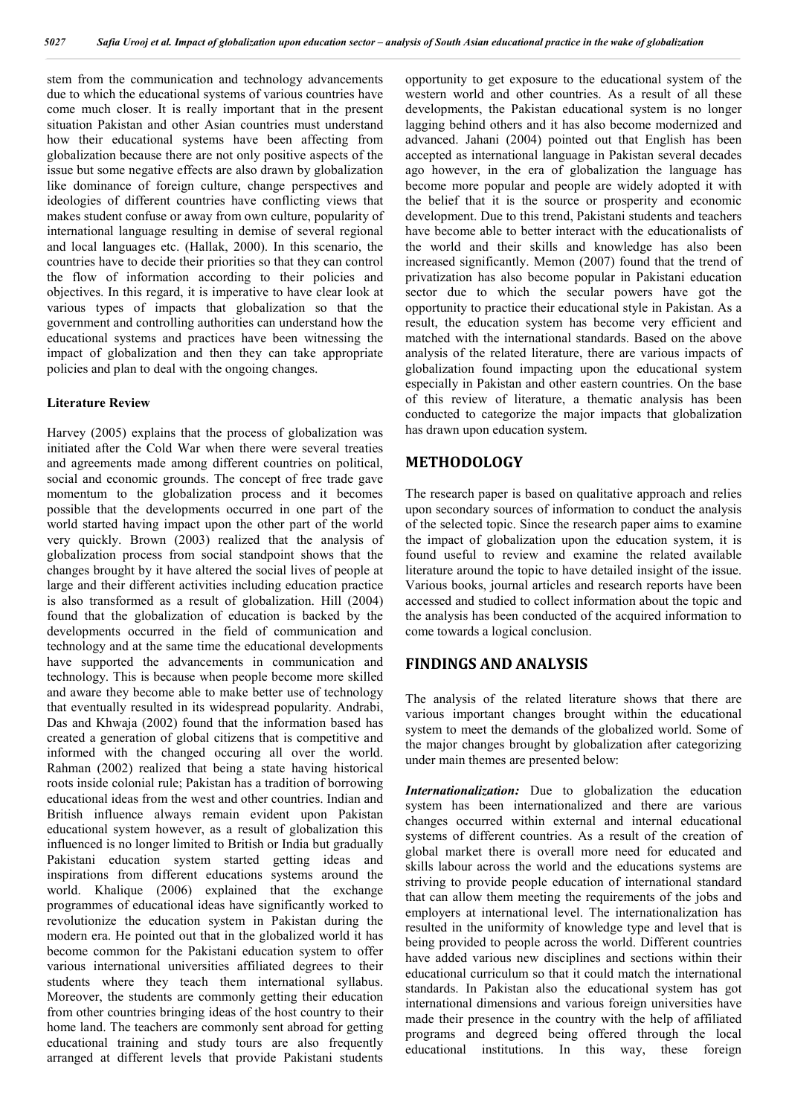stem from the communication and technology advancements due to which the educational systems of various countries have come much closer. It is really important that in the present situation Pakistan and other Asian countries must understand how their educational systems have been affecting from globalization because there are not only positive aspects of the issue but some negative effects are also drawn by globalization like dominance of foreign culture, change perspectives and ideologies of different countries have conflicting views that makes student confuse or away from own culture, popularity of international language resulting in demise of several regional and local languages etc. (Hallak, 2000). In this scenario, the countries have to decide their priorities so that they can control the flow of information according to their policies and objectives. In this regard, it is imperative to have clear look at various types of impacts that globalization so that the government and controlling authorities can understand how the educational systems and practices have been witnessing the impact of globalization and then they can take appropriate policies and plan to deal with the ongoing changes.

#### **Literature Review**

Harvey (2005) explains that the process of globalization was initiated after the Cold War when there were several treaties and agreements made among different countries on political, social and economic grounds. The concept of free trade gave momentum to the globalization process and it becomes possible that the developments occurred in one part of the world started having impact upon the other part of the world very quickly. Brown (2003) realized that the analysis of globalization process from social standpoint shows that the changes brought by it have altered the social lives of people at large and their different activities including education practice is also transformed as a result of globalization. Hill (2004) found that the globalization of education is backed by the developments occurred in the field of communication and technology and at the same time the educational developments have supported the advancements in communication and technology. This is because when people become more skilled and aware they become able to make better use of technology that eventually resulted in its widespread popularity. Andrabi, Das and Khwaja (2002) found that the information based has created a generation of global citizens that is competitive and informed with the changed occuring all over the world. Rahman (2002) realized that being a state having historical roots inside colonial rule; Pakistan has a tradition of borrowing educational ideas from the west and other countries. Indian and British influence always remain evident upon Pakistan educational system however, as a result of globalization this influenced is no longer limited to British or India but gradually Pakistani education system started getting ideas and inspirations from different educations systems around the world. Khalique (2006) explained that the exchange programmes of educational ideas have significantly worked to revolutionize the education system in Pakistan during the modern era. He pointed out that in the globalized world it has become common for the Pakistani education system to offer various international universities affiliated degrees to their students where they teach them international syllabus. Moreover, the students are commonly getting their education from other countries bringing ideas of the host country to their home land. The teachers are commonly sent abroad for getting educational training and study tours are also frequently arranged at different levels that provide Pakistani students

opportunity to get exposure to the educational system of the western world and other countries. As a result of all these developments, the Pakistan educational system is no longer lagging behind others and it has also become modernized and advanced. Jahani (2004) pointed out that English has been accepted as international language in Pakistan several decades ago however, in the era of globalization the language has become more popular and people are widely adopted it with the belief that it is the source or prosperity and economic development. Due to this trend, Pakistani students and teachers have become able to better interact with the educationalists of the world and their skills and knowledge has also been increased significantly. Memon (2007) found that the trend of privatization has also become popular in Pakistani education sector due to which the secular powers have got the opportunity to practice their educational style in Pakistan. As a result, the education system has become very efficient and matched with the international standards. Based on the above analysis of the related literature, there are various impacts of globalization found impacting upon the educational system especially in Pakistan and other eastern countries. On the base of this review of literature, a thematic analysis has been conducted to categorize the major impacts that globalization has drawn upon education system.

## **METHODOLOGY**

The research paper is based on qualitative approach and relies upon secondary sources of information to conduct the analysis of the selected topic. Since the research paper aims to examine the impact of globalization upon the education system, it is found useful to review and examine the related available literature around the topic to have detailed insight of the issue. Various books, journal articles and research reports have been accessed and studied to collect information about the topic and the analysis has been conducted of the acquired information to come towards a logical conclusion.

### **FINDINGS AND ANALYSIS**

The analysis of the related literature shows that there are various important changes brought within the educational system to meet the demands of the globalized world. Some of the major changes brought by globalization after categorizing under main themes are presented below:

*Internationalization:* Due to globalization the education system has been internationalized and there are various changes occurred within external and internal educational systems of different countries. As a result of the creation of global market there is overall more need for educated and skills labour across the world and the educations systems are striving to provide people education of international standard that can allow them meeting the requirements of the jobs and employers at international level. The internationalization has resulted in the uniformity of knowledge type and level that is being provided to people across the world. Different countries have added various new disciplines and sections within their educational curriculum so that it could match the international standards. In Pakistan also the educational system has got international dimensions and various foreign universities have made their presence in the country with the help of affiliated programs and degreed being offered through the local educational institutions. In this way, these foreign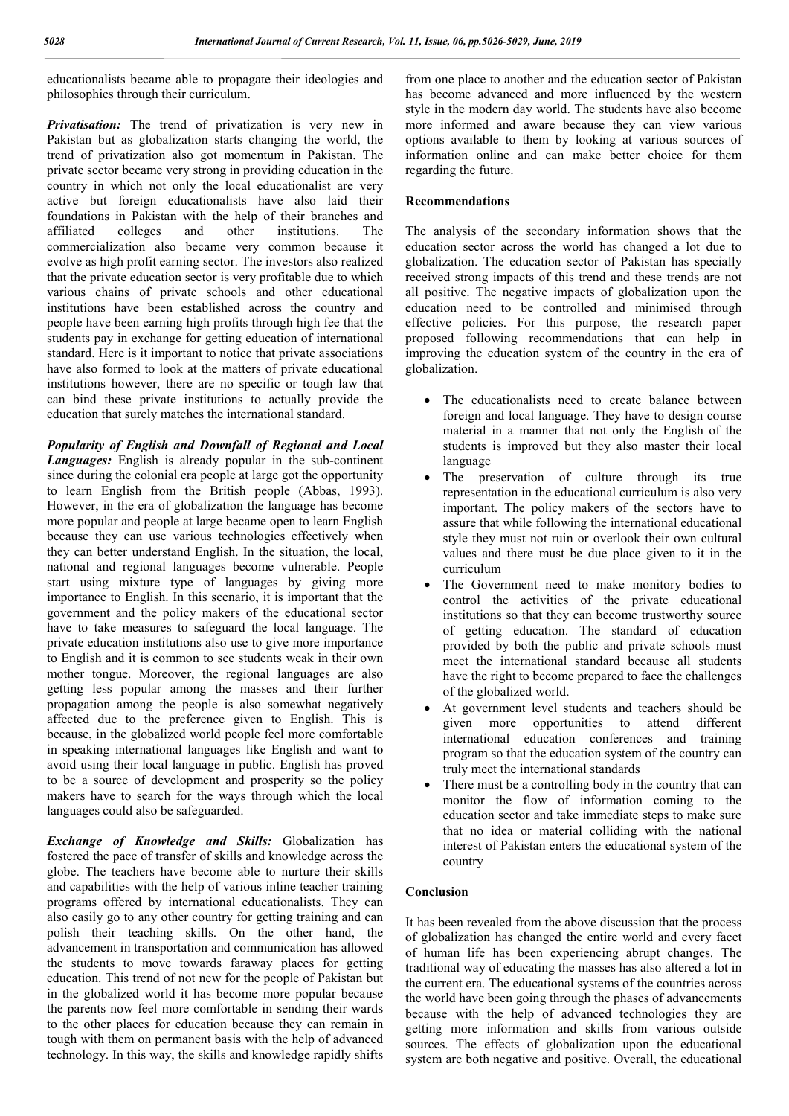educationalists became able to propagate their ideologies and philosophies through their curriculum.

*Privatisation:* The trend of privatization is very new in Pakistan but as globalization starts changing the world, the trend of privatization also got momentum in Pakistan. The private sector became very strong in providing education in the country in which not only the local educationalist are very active but foreign educationalists have also laid their foundations in Pakistan with the help of their branches and affiliated colleges and other institutions. The commercialization also became very common because it evolve as high profit earning sector. The investors also realized that the private education sector is very profitable due to which various chains of private schools and other educational institutions have been established across the country and people have been earning high profits through high fee that the students pay in exchange for getting education of international standard. Here is it important to notice that private associations have also formed to look at the matters of private educational institutions however, there are no specific or tough law that can bind these private institutions to actually provide the education that surely matches the international standard.

*Popularity of English and Downfall of Regional and Local Languages:* English is already popular in the sub-continent since during the colonial era people at large got the opportunity to learn English from the British people (Abbas, 1993). However, in the era of globalization the language has become more popular and people at large became open to learn English because they can use various technologies effectively when they can better understand English. In the situation, the local, national and regional languages become vulnerable. People start using mixture type of languages by giving more importance to English. In this scenario, it is important that the government and the policy makers of the educational sector have to take measures to safeguard the local language. The private education institutions also use to give more importance to English and it is common to see students weak in their own mother tongue. Moreover, the regional languages are also getting less popular among the masses and their further propagation among the people is also somewhat negatively affected due to the preference given to English. This is because, in the globalized world people feel more comfortable in speaking international languages like English and want to avoid using their local language in public. English has proved to be a source of development and prosperity so the policy makers have to search for the ways through which the local languages could also be safeguarded.

*Exchange of Knowledge and Skills:* Globalization has fostered the pace of transfer of skills and knowledge across the globe. The teachers have become able to nurture their skills and capabilities with the help of various inline teacher training programs offered by international educationalists. They can also easily go to any other country for getting training and can polish their teaching skills. On the other hand, the advancement in transportation and communication has allowed the students to move towards faraway places for getting education. This trend of not new for the people of Pakistan but in the globalized world it has become more popular because the parents now feel more comfortable in sending their wards to the other places for education because they can remain in tough with them on permanent basis with the help of advanced technology. In this way, the skills and knowledge rapidly shifts

from one place to another and the education sector of Pakistan has become advanced and more influenced by the western style in the modern day world. The students have also become more informed and aware because they can view various options available to them by looking at various sources of information online and can make better choice for them regarding the future.

#### **Recommendations**

The analysis of the secondary information shows that the education sector across the world has changed a lot due to globalization. The education sector of Pakistan has specially received strong impacts of this trend and these trends are not all positive. The negative impacts of globalization upon the education need to be controlled and minimised through effective policies. For this purpose, the research paper proposed following recommendations that can help in improving the education system of the country in the era of globalization.

- The educationalists need to create balance between foreign and local language. They have to design course material in a manner that not only the English of the students is improved but they also master their local language
- The preservation of culture through its true representation in the educational curriculum is also very important. The policy makers of the sectors have to assure that while following the international educational style they must not ruin or overlook their own cultural values and there must be due place given to it in the curriculum
- The Government need to make monitory bodies to control the activities of the private educational institutions so that they can become trustworthy source of getting education. The standard of education provided by both the public and private schools must meet the international standard because all students have the right to become prepared to face the challenges of the globalized world.
- At government level students and teachers should be given more opportunities to attend different international education conferences and training program so that the education system of the country can truly meet the international standards
- There must be a controlling body in the country that can monitor the flow of information coming to the education sector and take immediate steps to make sure that no idea or material colliding with the national interest of Pakistan enters the educational system of the country

#### **Conclusion**

It has been revealed from the above discussion that the process of globalization has changed the entire world and every facet of human life has been experiencing abrupt changes. The traditional way of educating the masses has also altered a lot in the current era. The educational systems of the countries across the world have been going through the phases of advancements because with the help of advanced technologies they are getting more information and skills from various outside sources. The effects of globalization upon the educational system are both negative and positive. Overall, the educational